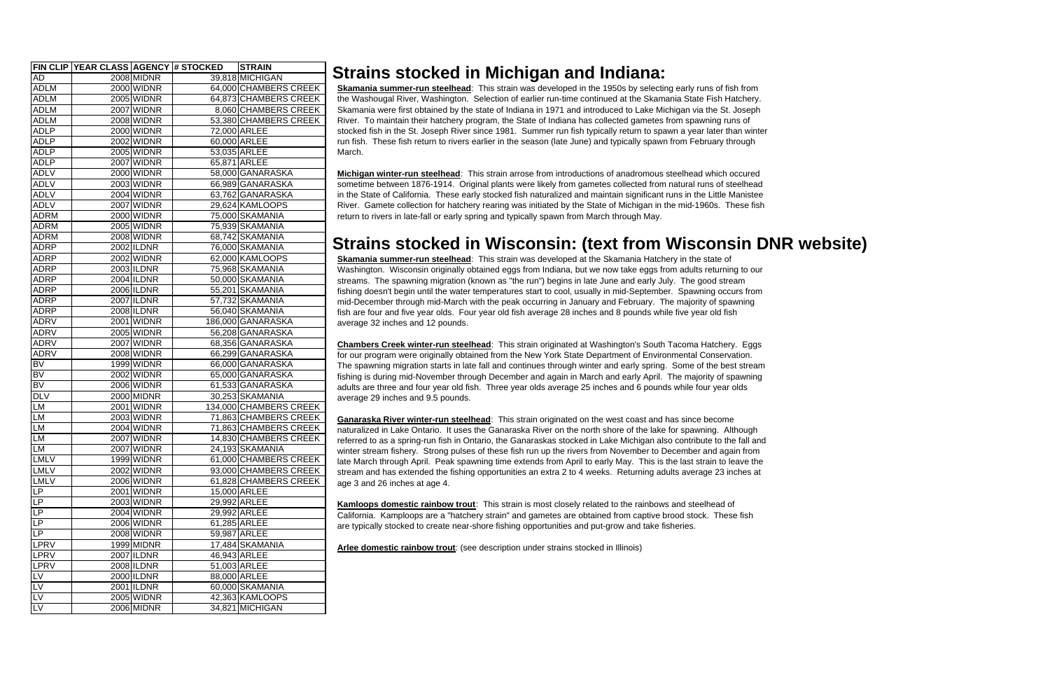|                          |                   | <b>FIN CLIP YEAR CLASS AGENCY # STOCKED</b> | <b>STRAIN</b>          |
|--------------------------|-------------------|---------------------------------------------|------------------------|
| <b>AD</b>                | <b>2008 MIDNR</b> |                                             | 39,818 MICHIGAN        |
| <b>ADLM</b>              | <b>2000 WIDNR</b> |                                             | 64,000 CHAMBERS CREEK  |
| <b>ADLM</b>              | 2005 WIDNR        |                                             | 64,873 CHAMBERS CREEK  |
| <b>ADLM</b>              | 2007 WIDNR        |                                             | 8,060 CHAMBERS CREEK   |
| <b>ADLM</b>              | <b>2008 WIDNR</b> |                                             | 53,380 CHAMBERS CREEK  |
| <b>ADLP</b>              | <b>2000 WIDNR</b> |                                             | 72,000 ARLEE           |
| <b>ADLP</b>              | 2002 WIDNR        |                                             | 60,000 ARLEE           |
| <b>ADLP</b>              | 2005 WIDNR        |                                             | 53,035 ARLEE           |
| <b>ADLP</b>              | 2007 WIDNR        |                                             | 65,871 ARLEE           |
| <b>ADLV</b>              | 2000 WIDNR        |                                             | 58,000 GANARASKA       |
| <b>ADLV</b>              | 2003 WIDNR        |                                             | 66,989 GANARASKA       |
| <b>ADLV</b>              | 2004 WIDNR        |                                             | 63,762 GANARASKA       |
| <b>ADLV</b>              | 2007 WIDNR        |                                             | 29,624 KAMLOOPS        |
| <b>ADRM</b>              | <b>2000 WIDNR</b> |                                             | 75,000 SKAMANIA        |
| <b>ADRM</b>              | <b>2005 WIDNR</b> |                                             | 75,939 SKAMANIA        |
| <b>ADRM</b>              | <b>2008 WIDNR</b> |                                             | 68,742 SKAMANIA        |
| ADRP                     | 2002 ILDNR        |                                             | 76,000 SKAMANIA        |
| <b>ADRP</b>              | 2002 WIDNR        |                                             | 62,000 KAMLOOPS        |
| ADRP                     | 2003 ILDNR        |                                             | 75,968 SKAMANIA        |
| <b>ADRP</b>              | 2004 ILDNR        |                                             | 50,000 SKAMANIA        |
| <b>ADRP</b>              | 2006 ILDNR        |                                             | 55,201 SKAMANIA        |
| <b>ADRP</b>              | 2007 ILDNR        |                                             | 57,732 SKAMANIA        |
| <b>ADRP</b>              | 2008 ILDNR        |                                             | 56,040 SKAMANIA        |
| <b>ADRV</b>              | 2001 WIDNR        |                                             | 186,000 GANARASKA      |
| <b>ADRV</b>              | 2005 WIDNR        |                                             | 56,208 GANARASKA       |
| <b>ADRV</b>              | 2007 WIDNR        |                                             | 68,356 GANARASKA       |
| <b>ADRV</b>              | 2008 WIDNR        |                                             | 66,299 GANARASKA       |
| <b>BV</b>                | 1999 WIDNR        |                                             | 66,000 GANARASKA       |
| $\overline{\mathsf{BV}}$ | 2002 WIDNR        |                                             | 65,000 GANARASKA       |
| BV                       | 2006 WIDNR        |                                             | 61,533 GANARASKA       |
| <b>DLV</b>               | <b>2000 MIDNR</b> |                                             | 30,253 SKAMANIA        |
| <b>LM</b>                | 2001 WIDNR        |                                             | 134,000 CHAMBERS CREEK |
| <b>LM</b>                | <b>2003 WIDNR</b> |                                             | 71,863 CHAMBERS CREEK  |
| LM                       | <b>2004 WIDNR</b> |                                             | 71,863 CHAMBERS CREEK  |
| <b>LM</b>                | 2007 WIDNR        |                                             | 14,830 CHAMBERS CREEK  |
| <b>LM</b>                | 2007 WIDNR        |                                             | 24,193 SKAMANIA        |
| <b>LMLV</b>              | 1999 WIDNR        |                                             | 61,000 CHAMBERS CREEK  |
| <b>LMLV</b>              | 2002 WIDNR        |                                             | 93,000 CHAMBERS CREEK  |
| <b>LMLV</b>              | 2006 WIDNR        |                                             | 61,828 CHAMBERS CREEK  |
| LP                       | 2001 WIDNR        |                                             | 15,000 ARLEE           |
| <b>LP</b>                | 2003 WIDNR        |                                             | 29,992 ARLEE           |
| <b>LP</b>                | <b>2004 WIDNR</b> |                                             | 29,992 ARLEE           |
| LP                       | <b>2006 WIDNR</b> |                                             | 61,285 ARLEE           |
| LP.                      | 2008 WIDNR        |                                             | 59,987 ARLEE           |
| <b>LPRV</b>              | 1999 MIDNR        |                                             | 17,484 SKAMANIA        |
| LPRV                     | 2007 ILDNR        |                                             | 46,943 ARLEE           |
| LPRV                     | 2008 ILDNR        |                                             | 51,003 ARLEE           |
| <b>LV</b>                | 2000 ILDNR        |                                             | 88,000 ARLEE           |
| LV                       | 2001 ILDNR        |                                             | 60,000 SKAMANIA        |
| LV                       | 2005 WIDNR        |                                             | 42,363 KAMLOOPS        |
| LV                       | 2006 MIDNR        |                                             | 34,821 MICHIGAN        |

## **Strains stocked in Wisconsin: (text from Wisconsin DNR website)**

## **Strains stocked in Michigan and Indiana:**

**Skamania summer-run steelhead**: This strain was developed in the 1950s by selecting early runs of fish from the Washougal River, Washington. Selection of earlier run-time continued at the Skamania State Fish Hatchery. Skamania were first obtained by the state of Indiana in 1971 and introduced to Lake Michigan via the St. Joseph River. To maintain their hatchery program, the State of Indiana has collected gametes from spawning runs of stocked fish in the St. Joseph River since 1981. Summer run fish typically return to spawn a year later than winter run fish. These fish return to rivers earlier in the season (late June) and typically spawn from February through March.

**Michigan winter-run steelhead**: This strain arrose from introductions of anadromous steelhead which occured sometime between 1876-1914. Original plants were likely from gametes collected from natural runs of steelhead in the State of California. These early stocked fish naturalized and maintain significant runs in the Little Manistee River. Gamete collection for hatchery rearing was initiated by the State of Michigan in the mid-1960s. These fish return to rivers in late-fall or early spring and typically spawn from March through May.

**Skamania summer-run steelhead**: This strain was developed at the Skamania Hatchery in the state of Washington. Wisconsin originally obtained eggs from Indiana, but we now take eggs from adults returning to our streams. The spawning migration (known as "the run") begins in late June and early July. The good stream fishing doesn't begin until the water temperatures start to cool, usually in mid-September. Spawning occurs from mid-December through mid-March with the peak occurring in January and February. The majority of spawning fish are four and five year olds. Four year old fish average 28 inches and 8 pounds while five year old fish average 32 inches and 12 pounds.

**Chambers Creek winter-run steelhead**: This strain originated at Washington's South Tacoma Hatchery. Eggs for our program were originally obtained from the New York State Department of Environmental Conservation. The spawning migration starts in late fall and continues through winter and early spring. Some of the best stream fishing is during mid-November through December and again in March and early April. The majority of spawning adults are three and four year old fish. Three year olds average 25 inches and 6 pounds while four year olds average 29 inches and 9.5 pounds.

**Ganaraska River winter-run steelhead**: This strain originated on the west coast and has since become naturalized in Lake Ontario. It uses the Ganaraska River on the north shore of the lake for spawning. Although referred to as a spring-run fish in Ontario, the Ganaraskas stocked in Lake Michigan also contribute to the fall and winter stream fishery. Strong pulses of these fish run up the rivers from November to December and again from late March through April. Peak spawning time extends from April to early May. This is the last strain to leave the stream and has extended the fishing opportunities an extra 2 to 4 weeks. Returning adults average 23 inches at age 3 and 26 inches at age 4.

**Kamloops domestic rainbow trout**: This strain is most closely related to the rainbows and steelhead of California. Kamploops are a "hatchery strain" and gametes are obtained from captive brood stock. These fish are typically stocked to create near-shore fishing opportunities and put-grow and take fisheries.

**Arlee domestic rainbow trout**: (see description under strains stocked in Illinois)